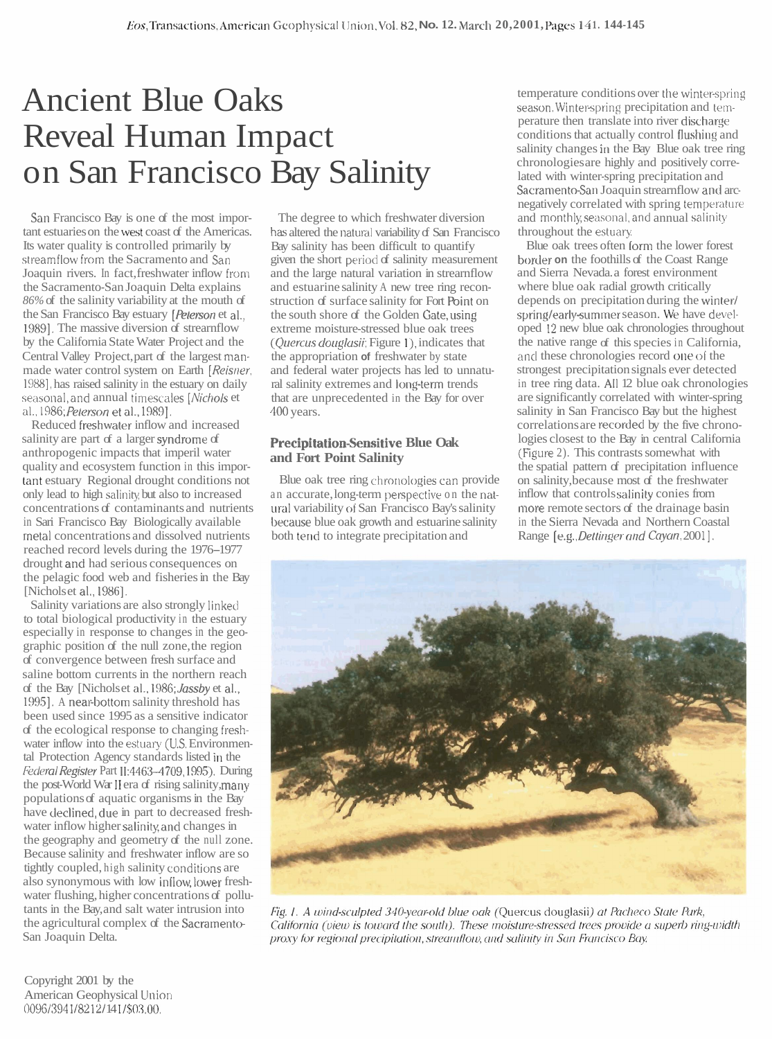## Ancient Blue Oaks Reveal Human Impact on San Francisco Bay Salinity

San Francisco Bay is one of the most important estuaries on the west coast of the Americas. Its water quality is controlled primarily by streamflow from the Sacramento and San Joaquin rivers. In fact, freshwater inflow from the Sacramento-San Joaquin Delta explains *86%* of the salinity variability at the mouth of the San Francisco Bay estuary [*Peterson* et al., 19891. The massive diversion of strearnflow by the California State Water Project and the Central Valley Project, part of the largest manmade water control system on Earth [Reisner, 19881, has raised salinity in the estuary on daily seasonal, and annual timescales [Nichols et] al.. 1986; Pelerson et al.. 19891.

Reduced freshwater inflow and increased salinity are part of a larger syndrome of anthropogenic impacts that imperil water quality and ecosystem function in this impor- [ant estuary Regional drought conditions not only lead to high salinity, but also to increased concentrations of contaminants and nutrients in Sari Francisco Bay Biologically available metal concentrations and dissolved nutrients reached record levels during the 1976-1977 drought and had serious consequences on the pelagic food web and fisheries in the Bay [Nicholset al., 1986].

Salinity variations are also strongly linked to total biological productivity in the estuary especially in response to changes in the geographic position of the null zone, the region of convergence between fresh surface and saline bottom currents in the northern reach of the Bay [Nichols et al., 1986; Jassby et al., 1995]. A near-bottom salinity threshold has been used since 1995 as a sensitive indicator of the ecological response to changing fresliwater inflow into the estuary (U.S. Environmental Protection Agency standards listed in the Federal Register Part II:4463-4709, 1995). During the post-World War II era of rising salinity, many populations of aquatic organisms in the Bay have declined, due in part to decreased freshwater inflow higher salinityand changes in the geography and geometry of the null zone. Because salinity and freshwater inflow are so tightly coupled, high salinity conditions are also synonymous with low inllow,lower freshwater flushing, higher concentrations of pollutants in the Bay, and salt water intrusion into the agricultural complex of the Sacramento-San Joaquin Delta.

The degree to which freshwater diversion has altered the natural variability of San Francisco Bay salinity has been difficult to quantify given the short period of salinity measurement and the large natural variation in strearnflow and estuarine salinity A new tree ring reconstruction of surface salinity for Fort Point on the south shore of the Golden Gate,using extreme moisture-stressed blue oak trees  $(Quercus douglasii; Figure 1)$ , indicates that the appropriation **of** freshwater by state and federal water projects has led to unnatural salinity extremes and long-term trends that are unprecedented in the Bay for over 400 years.

## **Precipitation-Sensitive Blue Oak and Fort Point Salinity**

Blue oak tree ring chronologies can provide an accurate, long-term perspective on the nat ural variability of San Francisco Bay's salinity because blue oak growth and estuarine salinity both tend to integrate precipitation and

temperature conditions over the winterspring season. Winter-spring precipitation and temperature then translate into river discharge conditions that actually control flushing and salinity changes in the Bay Blue oak tree ring chronologies are highly and positively correlated with winter-spring precipitation and Sacramento-San Joaquin strearnflow and arcnegatively correlated with spring temperature and monthly seasonal, and annual salinity throughout the estuary.

Blue oak trees often form the lower forest border **on** the foothills of the Coast Range and Sierra Nevada. a forest environment where blue oak radial growth critically depends on precipitation during the winter/ spring/early-summer season. We have developed 12 new blue oak chronologies throughout the native range of this species in California, and these chronologies record one **of** the strongest precipitation signals ever detected in tree ring data. All 12 blue oak chronologies are significantly correlated with winter-spring salinity in San Francisco Bay but the highest correlations are recorded by the five chronologies closest to the Bay in central California (Figure 2). This contrasts somewhat with the spatial pattern of precipitation influence on salinity, because most of the freshwater inflow that controls salinily conies from more remote sectors of the drainage basin in the Sierra Nevada and Northern Coastal Range [e.g., Dettinger and Cayan, 2001].



Fig. 1. A wind-sculpted 340-year-old blue oak (Quercus douglasii) at Pacheco State Park, California (view is toward the south). These moisture-stressed trees provide a superb ring-width proxy for regional precipitation, streamflow, and salinity in San Francisco Bay.

Copyright 2001 by the American Geophysical Unior~ 0096/3941/8212/141/\$03,00.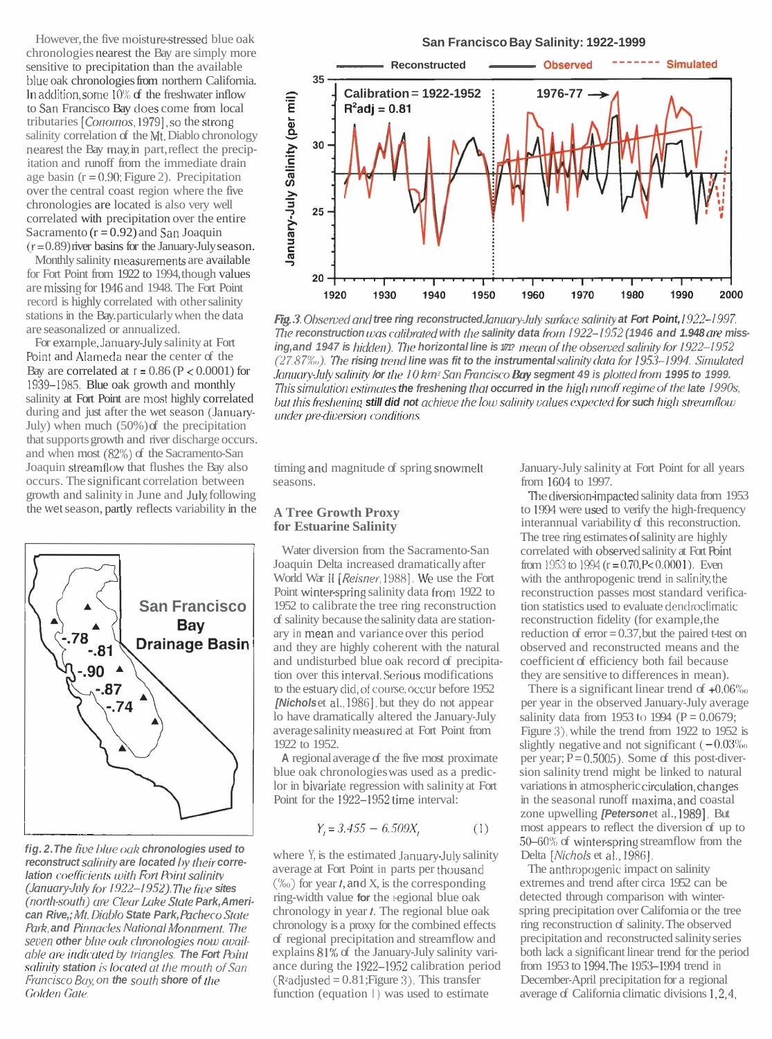However, the five moisture-stressed blue oak chronologies nearest the Bay are simply more sensitive to precipitation than the available blue oak chronologies from northern California. In addition, some  $10\%$  of the freshwater inflow to San Francisco Bay does come from local tributaries [Conomos, 1979], so the strong salinity correlation of the Mt. Diablo chronology nearest the Bay may in part, reflect the precipitation and runoff from the immediate drain age basin  $(r = 0.90;$  Figure 2). Precipitation over the central coast region where the five chronologies are located is also very well correlated with precipitation over the entire Sacramento  $(r = 0.92)$  and San Joaquin  $(r = 0.89)$  river basins for the January-July season.

Monthly salinity measurements are available for Fort Point from 1922 to 1994, though values are missing for 1946 and 1948. The Fort Point record is highly correlated with other salinity stations in the Bay. particularly when the data are seasonalized or annualized.

For example,January-July salinity at Fort Point and Alameda near the center of the Bay are correlated at  $r = 0.86$  (P < 0.0001) for 19:39-1985. Blue oak growth and monthly salinity at Fort Point are most highly correlated during and just after the wet season (January-July) when much (50%) of the precipitation that supports growth and river discharge occurs. and when most (82%) of the Sacramento-San Joaquin streamflow that flushes the Bay also occurs. The significant correlation between growth and salinity in June and July following the wet season, partly reflects variability in the



fig. 2. The five blue oak chronologies used to reconstruct salinity are located by their corre**lation** coefficients with Fort Point salinity (January-July for 1922-1952). The five sites (north-south) are Clear Lake State Park, American Rive,; Mt. Diablo State Park, Pacheco State **Park, and Pinnacles National Monament. The** seven other blue oak chronologies now available are *indicated* by *triangles*. The Fort Point salinity station is located at the mouth of San *francisco Bay, on the south shore of the* Golden Gate.

## **San Francisco Bay Salinity: 1922-1999**



Fig. 3. Observed and tree ring reconstructed January-July surface salinity at Fort Point, 1922-1997. The reconstruction was calibrated with the salinity data from 1922-1952 (1946 and 1.948 are missing, and 1947 is hidden). The horizontal line is  $\ell m$ ? mean of the observed salinity for 1922–1952 (27.87%). The rising trend line was fit to the instrumental salinity data for 1953–1994. Simulated January-July salinity /or the 10 km<sup>2</sup> San Francisco **Bay segment 49** is plotted from 1995 to 1999. This simulation estimates the freshening that occurred in the high runoff regime of the late 1990s, but this freshening **still did not** achieve the low salinity values expected for **such** high streumflow<br>under pre-diversion conditions.

timing and magnitude of spring snowmelt seasons.

## **A Tree Growth Proxy for Estuarine Salinity**

Water diversion from the Sacramento-San Joaquin Delta increased dramatically after World War 11 **[Reisner,** 19881. We use the Fort Point winterspring salinity data from 1922 to 1952 to calibrate the tree ring reconstruction of salinity because the salinity data are stationary in mean and variance over this period and they are highly coherent with the natural and undisturbed blue oak record of precipitation over this interval.Serious modifications to the estuary did, of course, occur before 1952 **[Nichols** et al., 1986], but they do not appear lo have dramatically altered the January-July average salinity measured at Fort Point from 1922 to 1952.

**A** regional average of the five most proximate blue oak chronologies was used as a prediclor in bivariate regression with salinity at Fort Point for the 1922-1952 time interval:

$$
Y_1 = 3.455 - 6.509X_1 \tag{1}
$$

where Y, is the estimated January-July salinity average at Fort Point in parts per thousand  $(\%)$  for year *t*, and X, is the corresponding ring-width value for the <sub>regional</sub> blue oak chronology in year **t.** The regional blue oak chronology is a proxy for the combined effects of regional precipitation and streamflow and explains 81'K of the January-July salinity variance during the 1922-1952 calibration period  $(R^2 \text{adjusted} = 0.81; \text{Figure 3}).$  This transfer function (equation I) was used to estimate

January-July salinity at Fort Point for all years from 1604 to 1997.

The diversion-impacted salinity data from 1953 to 1994 were used to verify the high-frequency interannual variability of this reconstruction. The tree ring estimates of salinity are highly correlated with observed salinity at Fort Point from 1953 to 1994  $(r = 0.70, P < 0.0001)$ . Even with the anthropogenic trend in salinity,the reconstruction passes most standard verification statistics used to evaluate dendroclimatic reconstruction fidelity (for example, the reduction of  $error = 0.37$ , but the paired t-test on observed and reconstructed means and the coefficient of efficiency both fail because they are sensitive to differences in mean).

There is a significant linear trend of  $+0.06\%$ per year in the observed January-July average salinity data from 1953 to 1994 ( $P = 0.0679$ ; Figure 3), while the trend from 1922 to 1952 is slightly negative and not significant  $(-0.03\%$ per year;  $P = 0.5005$ ). Some of this post-diversion salinity trend might be linked to natural variations in atmospheric circulation,changes in the seasonal runoff maxima,and coastal zone upwelling **[Peterson** et al., 1989]. But most appears to reflect the diversion of up to 50-60% of winter-spring streamflow from the Delta *[Nichols et al., 1986]*.

The anthropogenic impact on salinity extremes and trend after circa 1952 can be detected through comparison with winterspring precipitation over California or the tree ring reconstruction of salinity. The observed precipitation and reconstructed salinity series both lack a significant linear trend for the period from 1953 to 1994. The 1953-1994 trend in December-April precipitation for a regional average of California climatic divisions 1,2,4,